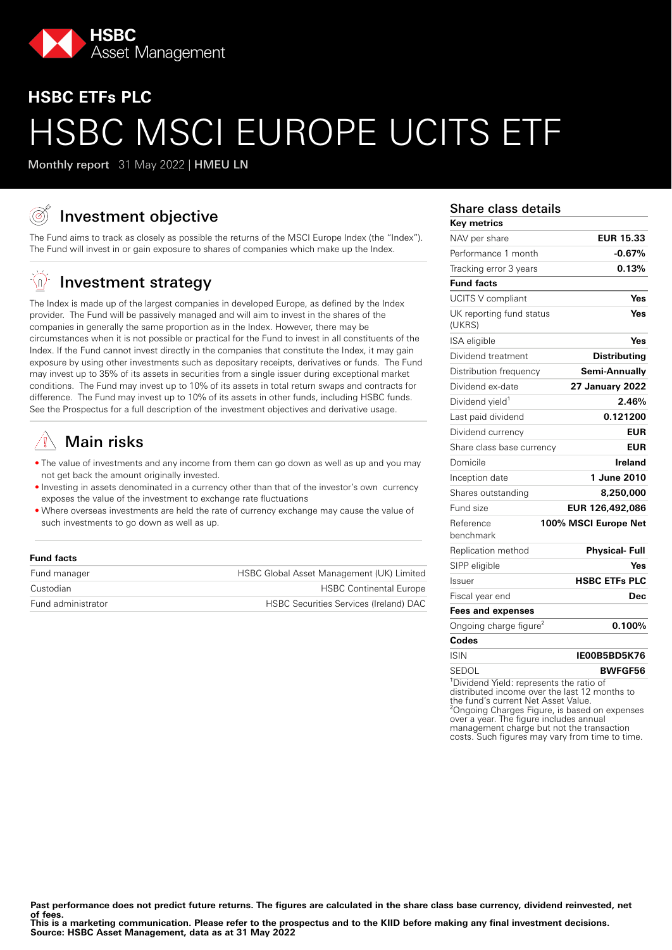

# **HSBC ETFs PLC** HSBC MSCI EUROPE UCITS ETF

Monthly report 31 May 2022 | HMEU LN

# Investment objective

The Fund aims to track as closely as possible the returns of the MSCI Europe Index (the "Index"). The Fund will invest in or gain exposure to shares of companies which make up the Index.

#### √n, Investment strategy

The Index is made up of the largest companies in developed Europe, as defined by the Index provider. The Fund will be passively managed and will aim to invest in the shares of the companies in generally the same proportion as in the Index. However, there may be circumstances when it is not possible or practical for the Fund to invest in all constituents of the Index. If the Fund cannot invest directly in the companies that constitute the Index, it may gain exposure by using other investments such as depositary receipts, derivatives or funds. The Fund may invest up to 35% of its assets in securities from a single issuer during exceptional market conditions. The Fund may invest up to 10% of its assets in total return swaps and contracts for difference. The Fund may invest up to 10% of its assets in other funds, including HSBC funds. See the Prospectus for a full description of the investment objectives and derivative usage.

# Main risks

- The value of investments and any income from them can go down as well as up and you may not get back the amount originally invested.
- Investing in assets denominated in a currency other than that of the investor's own currency exposes the value of the investment to exchange rate fluctuations
- Where overseas investments are held the rate of currency exchange may cause the value of such investments to go down as well as up.

#### **Fund facts**

| Fund manager       | HSBC Global Asset Management (UK) Limited     |
|--------------------|-----------------------------------------------|
| Custodian          | <b>HSBC Continental Europe</b>                |
| Fund administrator | <b>HSBC Securities Services (Ireland) DAC</b> |

#### Share class details

| <b>Key metrics</b>                                   |                        |
|------------------------------------------------------|------------------------|
| NAV per share                                        | <b>EUR 15.33</b>       |
| Performance 1 month                                  | $-0.67%$               |
| Tracking error 3 years                               | 0.13%                  |
| <b>Fund facts</b>                                    |                        |
| <b>UCITS V compliant</b>                             | Yes                    |
| UK reporting fund status<br>(UKRS)                   | Yes                    |
| ISA eligible                                         | Yes                    |
| Dividend treatment                                   | <b>Distributing</b>    |
| Distribution frequency                               | Semi-Annuallv          |
| Dividend ex-date                                     | <b>27 January 2022</b> |
| Dividend yield <sup>1</sup>                          | 2.46%                  |
| Last paid dividend                                   | 0.121200               |
| Dividend currency                                    | EUR                    |
| Share class base currency                            | <b>EUR</b>             |
| Domicile                                             | Ireland                |
| Inception date                                       | 1 June 2010            |
| Shares outstanding                                   | 8,250,000              |
| Fund size                                            | EUR 126,492,086        |
| Reference<br>benchmark                               | 100% MSCI Europe Net   |
| Replication method                                   | <b>Physical-Full</b>   |
| SIPP eligible                                        | Yes                    |
| Issuer                                               | <b>HSBC ETFs PLC</b>   |
| Fiscal year end                                      | Dec                    |
| <b>Fees and expenses</b>                             |                        |
| Ongoing charge figure <sup>2</sup>                   | 0.100%                 |
| Codes                                                |                        |
| <b>ISIN</b>                                          | IE00B5BD5K76           |
| SEDOL                                                | <b>BWFGF56</b>         |
| <sup>1</sup> Dividend Yield: represents the ratio of |                        |

distributed income over the last 12 months to the fund's current Net Asset Value. ²Ongoing Charges Figure, is based on expenses over a year. The figure includes annual management charge but not the transaction costs. Such figures may vary from time to time.

Past performance does not predict future returns. The figures are calculated in the share class base currency, dividend reinvested, net **of fees.**

**This is a marketing communication. Please refer to the prospectus and to the KIID before making any final investment decisions. Source: HSBC Asset Management, data as at 31 May 2022**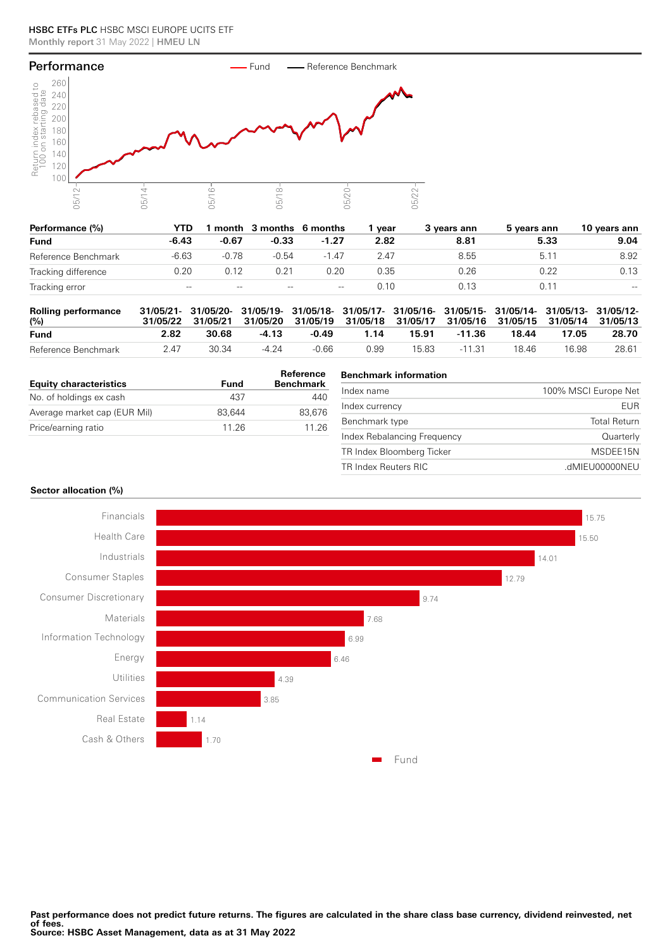#### HSBC ETFs PLC HSBC MSCI EUROPE UCITS ETF Monthly report 31 May 2022 | HMEU LN



| Performance (%)     | YTD     |         | month 3 months 6 months |         | vear | 3 vears ann | 5 years ann | 10 years ann |
|---------------------|---------|---------|-------------------------|---------|------|-------------|-------------|--------------|
| <b>Fund</b>         | $-6.43$ | $-0.67$ | $-0.33$                 | $-1.27$ | 2.82 | 8.81        | 5.33        | 9.04         |
| Reference Benchmark | $-6.63$ | $-0.78$ | $-0.54$                 | $-1.47$ | 2.47 | 8.55        | 5.1         | 8.92         |
| Tracking difference | 0.20    | 0.12    | 0.21                    | 0.20    | 0.35 | 0.26        | 0.22        | 0.13         |
| Tracking error      | $- -$   | $- -$   | $- -$                   | $- -$   | 0.10 | 0.13        | 0.11        | $- -$        |

| <b>Rolling performance</b><br>(%) |      |       |         |         | 31/05/21- 31/05/20- 31/05/19- 31/05/18- 31/05/17- 31/05/16- 31/05/15- 31/05/14- 31/05/13- 31/05/12-<br>31/05/22 31/05/21 31/05/20 31/05/19 31/05/18 31/05/17 31/05/16 31/05/15 31/05/14 31/05/13 |       |          |       |       |       |
|-----------------------------------|------|-------|---------|---------|--------------------------------------------------------------------------------------------------------------------------------------------------------------------------------------------------|-------|----------|-------|-------|-------|
| <b>Fund</b>                       | 2.82 | 30.68 | $-4.13$ | $-0.49$ | 1.14                                                                                                                                                                                             | 15.91 | -11.36   | 18.44 | 17.05 | 28.70 |
| Reference Benchmark               | 2 47 | 30.34 | $-4.24$ | -0.66   | 0.99                                                                                                                                                                                             | 15.83 | $-11.31$ | 18 46 | 16.98 | 28.61 |

| <b>Equity characteristics</b> | Fund   | Reference<br><b>Benchmark</b> |
|-------------------------------|--------|-------------------------------|
| No. of holdings ex cash       | 437    | 440                           |
| Average market cap (EUR Mil)  | 83.644 | 83.676                        |
| Price/earning ratio           | 11 26  | 11 26                         |

# **Benchmark information** Index name 100% MSCI Europe Net Index currency EUR Benchmark type Total Return Index Rebalancing Frequency **CONSERVING CONSERVING CONTROL** TR Index Bloomberg Ticker MSDEE15N TR Index Reuters RIC .dMIEU00000NEU

#### **Sector allocation (%)**

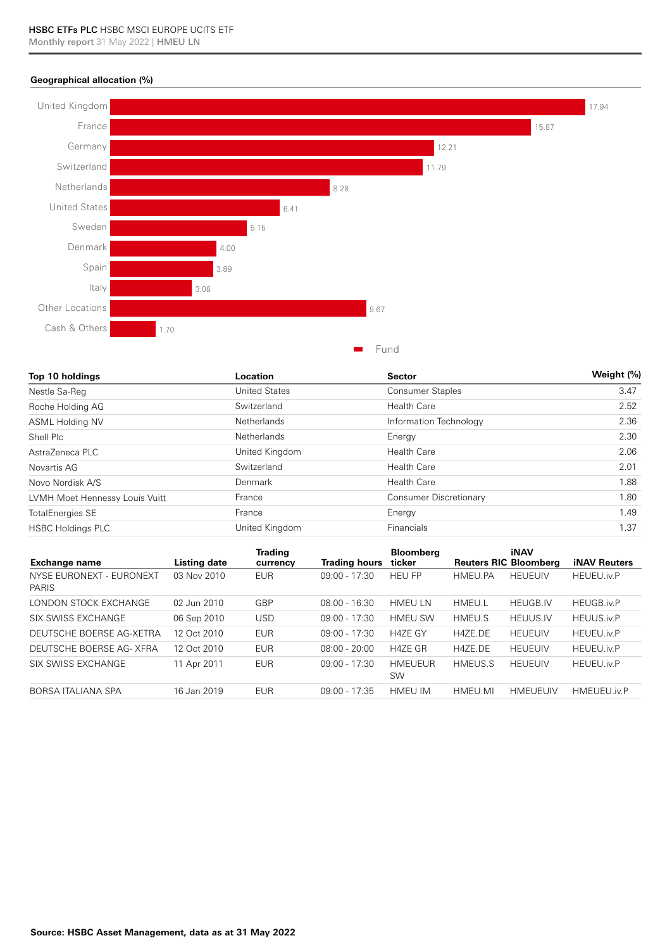### **Geographical allocation (%)**



| Top 10 holdings                | Location             | <b>Sector</b>                 | Weight (%) |  |
|--------------------------------|----------------------|-------------------------------|------------|--|
| Nestle Sa-Reg                  | <b>United States</b> | <b>Consumer Staples</b>       | 3.47       |  |
| Roche Holding AG               | Switzerland          | <b>Health Care</b>            | 2.52       |  |
| <b>ASML Holding NV</b>         | <b>Netherlands</b>   | Information Technology        | 2.36       |  |
| Shell Plc                      | Netherlands          | Energy                        | 2.30       |  |
| AstraZeneca PLC                | United Kingdom       | <b>Health Care</b>            | 2.06       |  |
| Novartis AG                    | Switzerland          | <b>Health Care</b>            | 2.01       |  |
| Novo Nordisk A/S               | Denmark              | <b>Health Care</b>            | 1.88       |  |
| LVMH Moet Hennessy Louis Vuitt | France               | <b>Consumer Discretionary</b> | 1.80       |  |
| <b>TotalEnergies SE</b>        | France               | Energy                        | 1.49       |  |
| <b>HSBC Holdings PLC</b>       | United Kingdom       | Financials                    | 1.37       |  |

| <b>Exchange name</b>                     | Listing date | <b>Trading</b><br>currency | <b>Trading hours</b> | <b>Bloomberg</b><br>ticker | <b>Reuters RIC Bloomberg</b> | <b>iNAV</b>     | <b>iNAV Reuters</b> |
|------------------------------------------|--------------|----------------------------|----------------------|----------------------------|------------------------------|-----------------|---------------------|
| NYSE EURONEXT - EURONEXT<br><b>PARIS</b> | 03 Nov 2010  | <b>EUR</b>                 | $09:00 - 17:30$      | <b>HEU FP</b>              | HMEU.PA                      | <b>HEUEUIV</b>  | <b>HEUEU</b> .iv.P  |
| LONDON STOCK EXCHANGE                    | 02 Jun 2010  | GBP                        | $08:00 - 16:30$      | <b>HMEULN</b>              | HMEU.L                       | <b>HEUGB.IV</b> | HEUGB.iv.P          |
| SIX SWISS EXCHANGE                       | 06 Sep 2010  | USD                        | $09:00 - 17:30$      | <b>HMEU SW</b>             | <b>HMEU.S</b>                | <b>HEUUS.IV</b> | <b>HEUUS.iv.P</b>   |
| DEUTSCHE BOERSE AG-XETRA                 | 12 Oct 2010  | <b>EUR</b>                 | $09:00 - 17:30$      | <b>H4ZE GY</b>             | H4ZE.DE                      | <b>HEUEUIV</b>  | <b>HEUEU.iv.P</b>   |
| DEUTSCHE BOERSE AG- XFRA                 | 12 Oct 2010  | EUR                        | $08:00 - 20:00$      | H4ZE GR                    | H4ZE.DE                      | <b>HEUEUIV</b>  | <b>HEUEU</b> .iv.P  |
| SIX SWISS EXCHANGE                       | 11 Apr 2011  | <b>EUR</b>                 | $09:00 - 17:30$      | HMEUEUR<br><b>SW</b>       | <b>HMEUS.S</b>               | <b>HEUEUIV</b>  | <b>HEUEU.iv.P</b>   |
| BORSA ITALIANA SPA                       | 16 Jan 2019  | EUR                        | $09:00 - 17:35$      | <b>HMEU IM</b>             | HMEU.MI                      | <b>HMEUEUIV</b> | <b>HMEUEU.iv.P</b>  |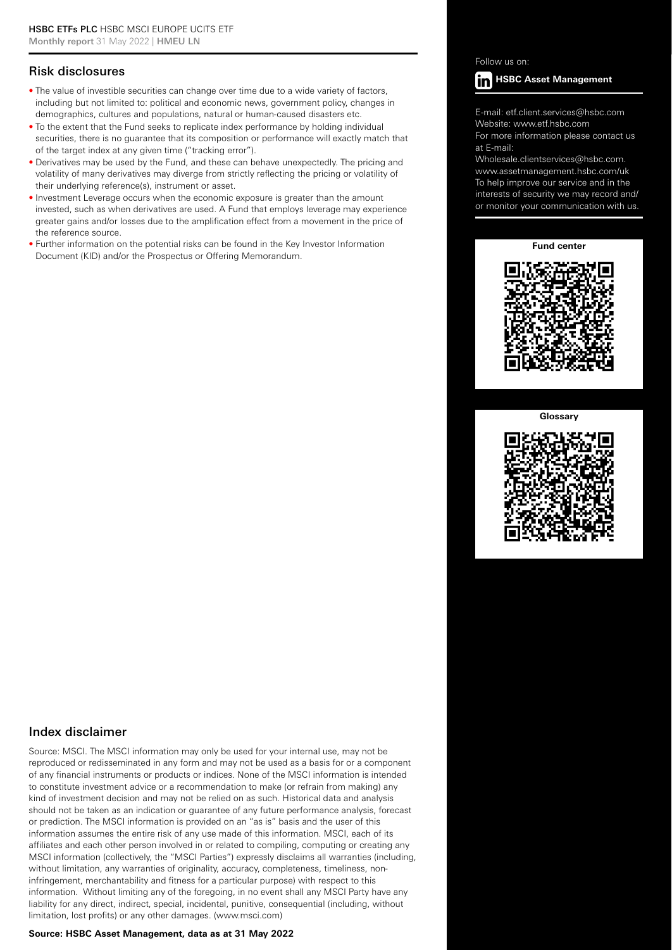# Risk disclosures

- The value of investible securities can change over time due to a wide variety of factors, including but not limited to: political and economic news, government policy, changes in demographics, cultures and populations, natural or human-caused disasters etc.
- To the extent that the Fund seeks to replicate index performance by holding individual securities, there is no guarantee that its composition or performance will exactly match that of the target index at any given time ("tracking error").
- Derivatives may be used by the Fund, and these can behave unexpectedly. The pricing and volatility of many derivatives may diverge from strictly reflecting the pricing or volatility of their underlying reference(s), instrument or asset.
- Investment Leverage occurs when the economic exposure is greater than the amount invested, such as when derivatives are used. A Fund that employs leverage may experience greater gains and/or losses due to the amplification effect from a movement in the price of the reference source.
- Further information on the potential risks can be found in the Key Investor Information Document (KID) and/or the Prospectus or Offering Memorandum.

Follow us on:



E-mail: etf.client.services@hsbc.com Website: www.etf.hsbc.com

For more information please contact us at E-mail:

Wholesale.clientservices@hsbc.com. www.assetmanagement.hsbc.com/uk To help improve our service and in the interests of security we may record and/ or monitor your communication with us.

**Fund center**



#### **Glossary**



### Index disclaimer

Source: MSCI. The MSCI information may only be used for your internal use, may not be reproduced or redisseminated in any form and may not be used as a basis for or a component of any financial instruments or products or indices. None of the MSCI information is intended to constitute investment advice or a recommendation to make (or refrain from making) any kind of investment decision and may not be relied on as such. Historical data and analysis should not be taken as an indication or guarantee of any future performance analysis, forecast or prediction. The MSCI information is provided on an "as is" basis and the user of this information assumes the entire risk of any use made of this information. MSCI, each of its affiliates and each other person involved in or related to compiling, computing or creating any MSCI information (collectively, the "MSCI Parties") expressly disclaims all warranties (including, without limitation, any warranties of originality, accuracy, completeness, timeliness, noninfringement, merchantability and fitness for a particular purpose) with respect to this information. Without limiting any of the foregoing, in no event shall any MSCI Party have any liability for any direct, indirect, special, incidental, punitive, consequential (including, without limitation, lost profits) or any other damages. (www.msci.com)

#### **Source: HSBC Asset Management, data as at 31 May 2022**